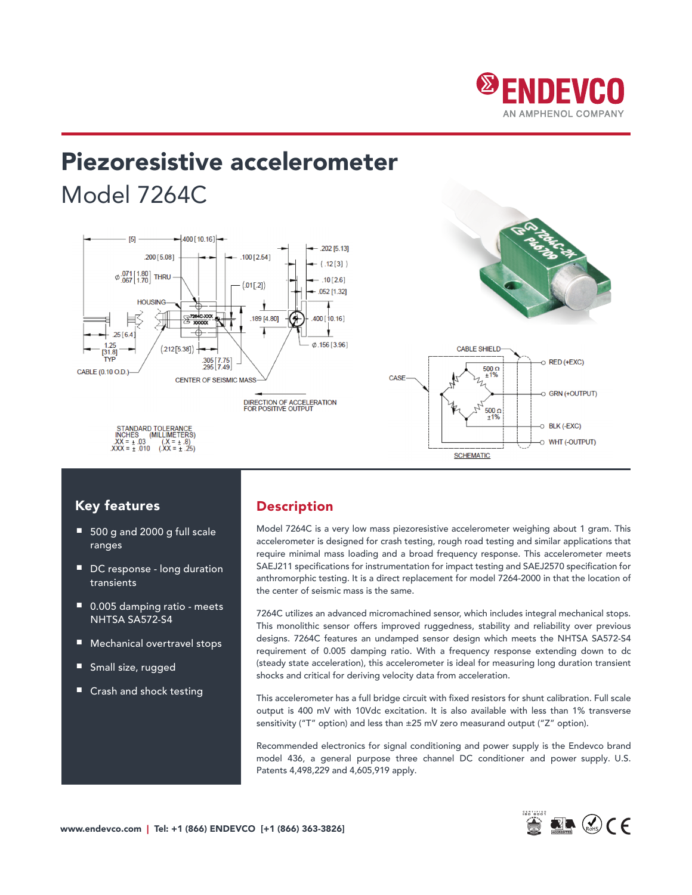

# Piezoresistive accelerometer Model 7264C





## Key features

- 500 g and 2000 g full scale ranges
- DC response long duration transients
- 0.005 damping ratio meets NHTSA SA572-S4
- Mechanical overtravel stops
- Small size, rugged
- Crash and shock testing

## Description

Model 7264C is a very low mass piezoresistive accelerometer weighing about 1 gram. This accelerometer is designed for crash testing, rough road testing and similar applications that require minimal mass loading and a broad frequency response. This accelerometer meets SAEJ211 specifications for instrumentation for impact testing and SAEJ2570 specification for anthromorphic testing. It is a direct replacement for model 7264-2000 in that the location of the center of seismic mass is the same.

7264C utilizes an advanced micromachined sensor, which includes integral mechanical stops. This monolithic sensor offers improved ruggedness, stability and reliability over previous designs. 7264C features an undamped sensor design which meets the NHTSA SA572-S4 requirement of 0.005 damping ratio. With a frequency response extending down to dc (steady state acceleration), this accelerometer is ideal for measuring long duration transient shocks and critical for deriving velocity data from acceleration.

This accelerometer has a full bridge circuit with fixed resistors for shunt calibration. Full scale output is 400 mV with 10Vdc excitation. It is also available with less than 1% transverse sensitivity ("T" option) and less than ±25 mV zero measurand output ("Z" option).

Recommended electronics for signal conditioning and power supply is the Endevco brand model 436, a general purpose three channel DC conditioner and power supply. U.S. Patents 4,498,229 and 4,605,919 apply.



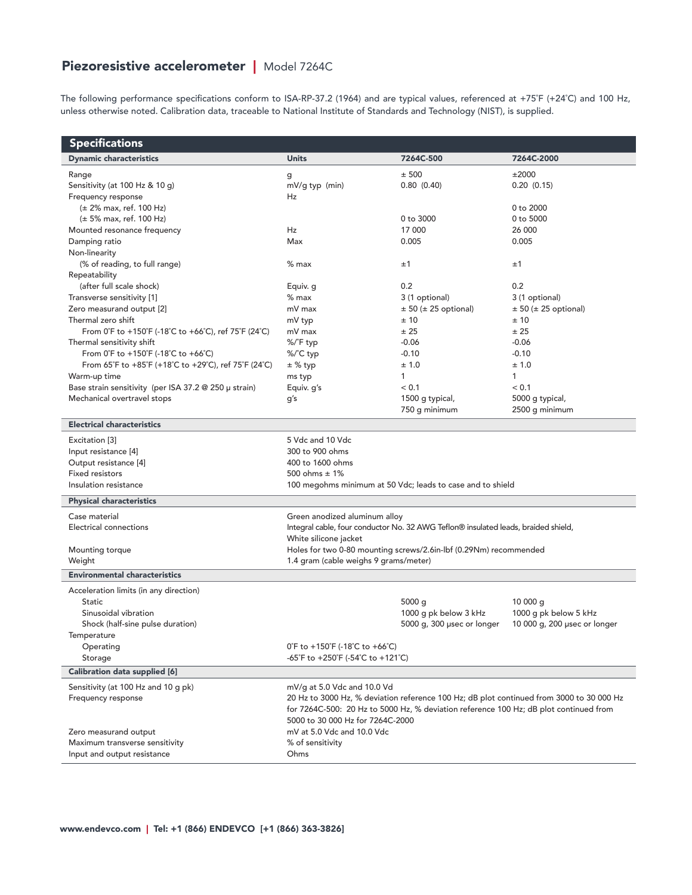# Piezoresistive accelerometer | Model 7264C

The following performance specifications conform to ISA-RP-37.2 (1964) and are typical values, referenced at +75˚F (+24˚C) and 100 Hz, unless otherwise noted. Calibration data, traceable to National Institute of Standards and Technology (NIST), is supplied.

| <b>Specifications</b>                                                          |                                                                                       |                                                                                    |                                                                                          |
|--------------------------------------------------------------------------------|---------------------------------------------------------------------------------------|------------------------------------------------------------------------------------|------------------------------------------------------------------------------------------|
| <b>Dynamic characteristics</b>                                                 | <b>Units</b>                                                                          | 7264C-500                                                                          | 7264C-2000                                                                               |
| Range                                                                          | g                                                                                     | ± 500                                                                              | ±2000                                                                                    |
| Sensitivity (at 100 Hz & 10 g)                                                 | mV/g typ (min)<br>Hz                                                                  | 0.80(0.40)                                                                         | 0.20(0.15)                                                                               |
| Frequency response<br>$(\pm 2\%$ max, ref. 100 Hz)                             |                                                                                       |                                                                                    | 0 to 2000                                                                                |
| $(\pm 5\%$ max, ref. 100 Hz)                                                   |                                                                                       | 0 to 3000                                                                          | 0 to 5000                                                                                |
| Mounted resonance frequency                                                    | Hz                                                                                    | 17 000                                                                             | 26 000                                                                                   |
| Damping ratio                                                                  | Max                                                                                   | 0.005                                                                              | 0.005                                                                                    |
| Non-linearity                                                                  |                                                                                       |                                                                                    |                                                                                          |
| (% of reading, to full range)                                                  | $%$ max                                                                               | ±1                                                                                 | ±1                                                                                       |
| Repeatability                                                                  |                                                                                       |                                                                                    |                                                                                          |
| (after full scale shock)                                                       | Equiv. g                                                                              | 0.2                                                                                | 0.2                                                                                      |
| Transverse sensitivity [1]                                                     | $%$ max                                                                               | 3 (1 optional)                                                                     | 3 (1 optional)                                                                           |
| Zero measurand output [2]                                                      | mV max                                                                                | $\pm$ 50 ( $\pm$ 25 optional)                                                      | $± 50 (± 25$ optional)                                                                   |
| Thermal zero shift                                                             | mV typ                                                                                | ±10                                                                                | ±10                                                                                      |
| From 0°F to +150°F (-18°C to +66°C), ref 75°F (24°C)                           | mV max                                                                                | ± 25                                                                               | ± 25                                                                                     |
| Thermal sensitivity shift                                                      | %/°F typ                                                                              | $-0.06$                                                                            | $-0.06$                                                                                  |
| From $0^{\circ}$ F to +150 $^{\circ}$ F (-18 $^{\circ}$ C to +66 $^{\circ}$ C) | %/°C typ                                                                              | $-0.10$                                                                            | $-0.10$                                                                                  |
| From 65°F to +85°F (+18°C to +29°C), ref 75°F (24°C)                           | $±$ % typ                                                                             | ± 1.0                                                                              | ± 1.0                                                                                    |
| Warm-up time                                                                   | ms typ                                                                                | $\mathbf{1}$                                                                       | $\mathbf{1}$                                                                             |
| Base strain sensitivity (per ISA 37.2 @ 250 µ strain)                          | Equiv. g's                                                                            | < 0.1                                                                              | < 0.1                                                                                    |
| Mechanical overtravel stops                                                    | g's                                                                                   | 1500 g typical,                                                                    | 5000 g typical,                                                                          |
|                                                                                |                                                                                       | 750 g minimum                                                                      | 2500 g minimum                                                                           |
| <b>Electrical characteristics</b>                                              |                                                                                       |                                                                                    |                                                                                          |
| Excitation [3]                                                                 | 5 Vdc and 10 Vdc                                                                      |                                                                                    |                                                                                          |
| Input resistance [4]                                                           | 300 to 900 ohms                                                                       |                                                                                    |                                                                                          |
| Output resistance [4]                                                          | 400 to 1600 ohms                                                                      |                                                                                    |                                                                                          |
| <b>Fixed resistors</b>                                                         | 500 ohms $\pm$ 1%                                                                     |                                                                                    |                                                                                          |
| Insulation resistance                                                          | 100 megohms minimum at 50 Vdc; leads to case and to shield                            |                                                                                    |                                                                                          |
| <b>Physical characteristics</b>                                                |                                                                                       |                                                                                    |                                                                                          |
| Case material                                                                  | Green anodized aluminum alloy                                                         |                                                                                    |                                                                                          |
| Electrical connections                                                         |                                                                                       | Integral cable, four conductor No. 32 AWG Teflon® insulated leads, braided shield, |                                                                                          |
|                                                                                | White silicone jacket                                                                 |                                                                                    |                                                                                          |
| Mounting torque                                                                | Holes for two 0-80 mounting screws/2.6in-lbf (0.29Nm) recommended                     |                                                                                    |                                                                                          |
| Weight                                                                         | 1.4 gram (cable weighs 9 grams/meter)                                                 |                                                                                    |                                                                                          |
| <b>Environmental characteristics</b>                                           |                                                                                       |                                                                                    |                                                                                          |
| Acceleration limits (in any direction)                                         |                                                                                       |                                                                                    |                                                                                          |
| <b>Static</b>                                                                  |                                                                                       | 5000 g                                                                             | 10000q                                                                                   |
| Sinusoidal vibration                                                           |                                                                                       | 1000 g pk below 3 kHz                                                              | 1000 g pk below 5 kHz                                                                    |
| Shock (half-sine pulse duration)                                               |                                                                                       | 5000 g, 300 µsec or longer                                                         | 10 000 g, 200 usec or longer                                                             |
| Temperature                                                                    |                                                                                       |                                                                                    |                                                                                          |
| Operating                                                                      | $0^{\circ}$ F to +150 $^{\circ}$ F (-18 $^{\circ}$ C to +66 $^{\circ}$ C)             |                                                                                    |                                                                                          |
| Storage                                                                        | -65°F to +250°F (-54°C to +121°C)                                                     |                                                                                    |                                                                                          |
| Calibration data supplied [6]                                                  |                                                                                       |                                                                                    |                                                                                          |
| Sensitivity (at 100 Hz and 10 g pk)                                            | mV/g at 5.0 Vdc and 10.0 Vd                                                           |                                                                                    |                                                                                          |
| Frequency response                                                             |                                                                                       |                                                                                    | 20 Hz to 3000 Hz, % deviation reference 100 Hz; dB plot continued from 3000 to 30 000 Hz |
|                                                                                | for 7264C-500: 20 Hz to 5000 Hz, % deviation reference 100 Hz; dB plot continued from |                                                                                    |                                                                                          |
|                                                                                | 5000 to 30 000 Hz for 7264C-2000                                                      |                                                                                    |                                                                                          |
| Zero measurand output                                                          | mV at 5.0 Vdc and 10.0 Vdc                                                            |                                                                                    |                                                                                          |
| Maximum transverse sensitivity                                                 | % of sensitivity                                                                      |                                                                                    |                                                                                          |
| Input and output resistance                                                    | Ohms                                                                                  |                                                                                    |                                                                                          |